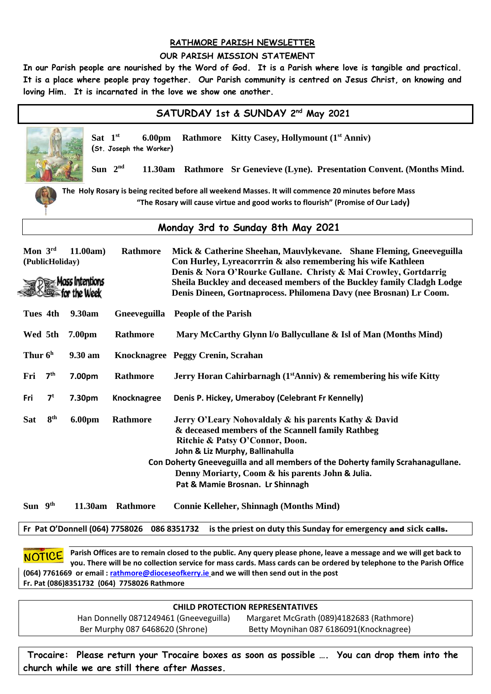### **RATHMORE PARISH NEWSLETTER**

#### **OUR PARISH MISSION STATEMENT**

**In our Parish people are nourished by the Word of God. It is a Parish where love is tangible and practical. It is a place where people pray together. Our Parish community is centred on Jesus Christ, on knowing and loving Him. It is incarnated in the love we show one another.**

| SATURDAY 1st & SUNDAY 2nd May 2021                                                                                                  |                                                                                                                                                                                                                                                                                                                                                          |  |
|-------------------------------------------------------------------------------------------------------------------------------------|----------------------------------------------------------------------------------------------------------------------------------------------------------------------------------------------------------------------------------------------------------------------------------------------------------------------------------------------------------|--|
| Sat $1st$<br>6.00pm<br>(St. Joseph the Worker)                                                                                      | Rathmore Kitty Casey, Hollymount (1 <sup>st</sup> Anniv)                                                                                                                                                                                                                                                                                                 |  |
| Sun $2^{nd}$<br>11.30am<br><b>Rathmore</b> Sr Genevieve (Lyne). Presentation Convent. (Months Mind.                                 |                                                                                                                                                                                                                                                                                                                                                          |  |
| The Holy Rosary is being recited before all weekend Masses. It will commence 20 minutes before Mass                                 |                                                                                                                                                                                                                                                                                                                                                          |  |
| "The Rosary will cause virtue and good works to flourish" (Promise of Our Lady)                                                     |                                                                                                                                                                                                                                                                                                                                                          |  |
| Monday 3rd to Sunday 8th May 2021                                                                                                   |                                                                                                                                                                                                                                                                                                                                                          |  |
| Mon 3rd<br>11.00am<br><b>Rathmore</b><br>(PublicHoliday)<br>$\gg$ Mass Intentions<br>the Week                                       | Mick & Catherine Sheehan, Mauvlykevane. Shane Fleming, Gneeveguilla<br>Con Hurley, Lyreacorrrin & also remembering his wife Kathleen<br>Denis & Nora O'Rourke Gullane. Christy & Mai Crowley, Gortdarrig<br>Sheila Buckley and deceased members of the Buckley family Cladgh Lodge<br>Denis Dineen, Gortnaprocess. Philomena Davy (nee Brosnan) Lr Coom. |  |
| 9.30am<br>Tues 4th                                                                                                                  | Gneeveguilla People of the Parish                                                                                                                                                                                                                                                                                                                        |  |
| Wed 5th<br>Rathmore<br>7.00pm                                                                                                       | Mary McCarthy Glynn I/o Ballycullane & Isl of Man (Months Mind)                                                                                                                                                                                                                                                                                          |  |
| Thur $6h$<br>9.30 am                                                                                                                | Knocknagree Peggy Crenin, Scrahan                                                                                                                                                                                                                                                                                                                        |  |
| 7 <sup>th</sup><br>Rathmore<br>Fri<br>7.00pm                                                                                        | Jerry Horan Cahirbarnagh (1 <sup>st</sup> Anniv) $\&$ remembering his wife Kitty                                                                                                                                                                                                                                                                         |  |
| 7 <sup>t</sup><br>7.30pm<br>Knocknagree<br>Fri                                                                                      | Denis P. Hickey, Umeraboy (Celebrant Fr Kennelly)                                                                                                                                                                                                                                                                                                        |  |
| 8 <sup>th</sup><br><b>6.00pm</b><br><b>Sat</b><br>Rathmore                                                                          | Jerry O'Leary Nohovaldaly & his parents Kathy & David<br>& deceased members of the Scannell family Rathbeg<br>Ritchie & Patsy O'Connor, Doon.<br>John & Liz Murphy, Ballinahulla                                                                                                                                                                         |  |
| Con Doherty Gneeveguilla and all members of the Doherty family Scrahanagullane.<br>Denny Moriarty, Coom & his parents John & Julia. |                                                                                                                                                                                                                                                                                                                                                          |  |
|                                                                                                                                     | Pat & Mamie Brosnan. Lr Shinnagh                                                                                                                                                                                                                                                                                                                         |  |
| Sun 9th<br>11.30am Rathmore                                                                                                         | <b>Connie Kelleher, Shinnagh (Months Mind)</b>                                                                                                                                                                                                                                                                                                           |  |
| Fr Pat O'Donnell (064) 7758026 086 8351732<br>is the priest on duty this Sunday for emergency and sick calls.                       |                                                                                                                                                                                                                                                                                                                                                          |  |

**Parish Offices are to remain closed to the public. Any query please phone, leave a message and we will get back to NOTICE you. There will be no collection service for mass cards. Mass cards can be ordered by telephone to the Parish Office (064) 7761669 or email [: rathmore@dioceseofkerry.ie](mailto:rathmore@dioceseofkerry.ie) and we will then send out in the post Fr. Pat (086)8351732 (064) 7758026 Rathmore**

| <b>CHILD PROTECTION REPRESENTATIVES</b> |                                          |  |  |
|-----------------------------------------|------------------------------------------|--|--|
| Han Donnelly 0871249461 (Gneeveguilla)  | Margaret McGrath (089)4182683 (Rathmore) |  |  |
| Ber Murphy 087 6468620 (Shrone)         | Betty Moynihan 087 6186091 (Knocknagree) |  |  |
|                                         |                                          |  |  |

 **Trocaire: Please return your Trocaire boxes as soon as possible …. You can drop them into the church while we are still there after Masses.**